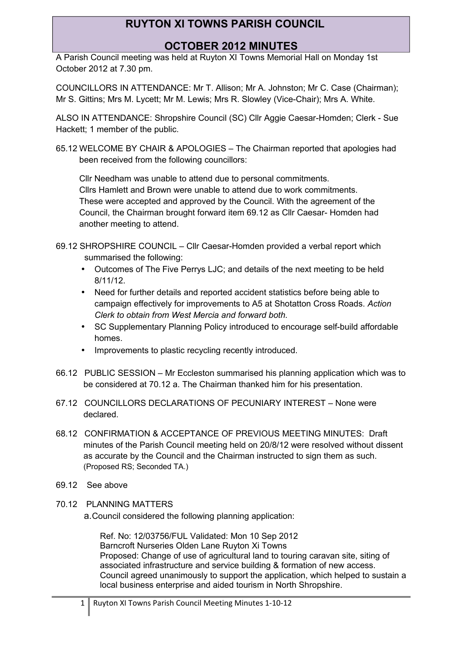### **OCTOBER 2012 MINUTES**

A Parish Council meeting was held at Ruyton XI Towns Memorial Hall on Monday 1st October 2012 at 7.30 pm.

COUNCILLORS IN ATTENDANCE: Mr T. Allison; Mr A. Johnston; Mr C. Case (Chairman); Mr S. Gittins; Mrs M. Lycett; Mr M. Lewis; Mrs R. Slowley (Vice-Chair); Mrs A. White.

ALSO IN ATTENDANCE: Shropshire Council (SC) Cllr Aggie Caesar-Homden; Clerk - Sue Hackett; 1 member of the public.

65.12 WELCOME BY CHAIR & APOLOGIES – The Chairman reported that apologies had been received from the following councillors:

Cllr Needham was unable to attend due to personal commitments. Cllrs Hamlett and Brown were unable to attend due to work commitments. These were accepted and approved by the Council. With the agreement of the Council, the Chairman brought forward item 69.12 as Cllr Caesar- Homden had another meeting to attend.

- 69.12 SHROPSHIRE COUNCIL Cllr Caesar-Homden provided a verbal report which summarised the following:
	- Outcomes of The Five Perrys LJC; and details of the next meeting to be held 8/11/12.
	- Need for further details and reported accident statistics before being able to campaign effectively for improvements to A5 at Shotatton Cross Roads. *Action Clerk to obtain from West Mercia and forward both.*
	- SC Supplementary Planning Policy introduced to encourage self-build affordable homes.
	- Improvements to plastic recycling recently introduced.
- 66.12 PUBLIC SESSION Mr Eccleston summarised his planning application which was to be considered at 70.12 a. The Chairman thanked him for his presentation.
- 67.12 COUNCILLORS DECLARATIONS OF PECUNIARY INTEREST None were declared.
- 68.12 CONFIRMATION & ACCEPTANCE OF PREVIOUS MEETING MINUTES: Draft minutes of the Parish Council meeting held on 20/8/12 were resolved without dissent as accurate by the Council and the Chairman instructed to sign them as such. (Proposed RS; Seconded TA.)
- 69.12 See above
- 70.12 PLANNING MATTERS

a.Council considered the following planning application:

Ref. No: 12/03756/FUL Validated: Mon 10 Sep 2012 Barncroft Nurseries Olden Lane Ruyton Xi Towns Proposed: Change of use of agricultural land to touring caravan site, siting of associated infrastructure and service building & formation of new access. Council agreed unanimously to support the application, which helped to sustain a local business enterprise and aided tourism in North Shropshire.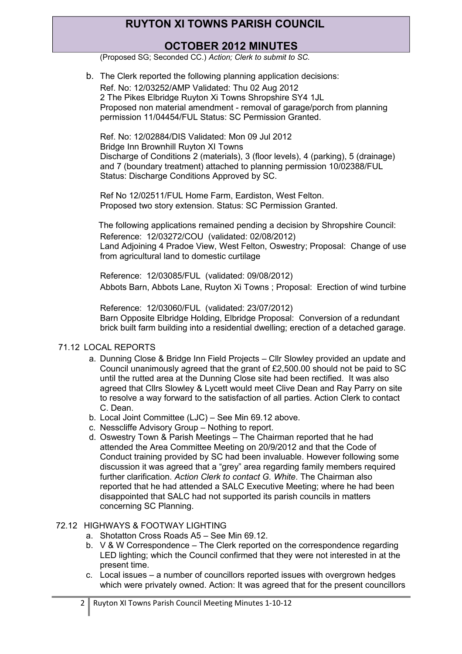## **OCTOBER 2012 MINUTES**

(Proposed SG; Seconded CC.) *Action; Clerk to submit to SC.*

b. The Clerk reported the following planning application decisions: Ref. No: 12/03252/AMP Validated: Thu 02 Aug 2012 2 The Pikes Elbridge Ruyton Xi Towns Shropshire SY4 1JL Proposed non material amendment - removal of garage/porch from planning permission 11/04454/FUL Status: SC Permission Granted.

Ref. No: 12/02884/DIS Validated: Mon 09 Jul 2012 Bridge Inn Brownhill Ruyton XI Towns Discharge of Conditions 2 (materials), 3 (floor levels), 4 (parking), 5 (drainage) and 7 (boundary treatment) attached to planning permission 10/02388/FUL Status: Discharge Conditions Approved by SC.

Ref No 12/02511/FUL Home Farm, Eardiston, West Felton. Proposed two story extension. Status: SC Permission Granted.

The following applications remained pending a decision by Shropshire Council: Reference: 12/03272/COU (validated: 02/08/2012) Land Adjoining 4 Pradoe View, West Felton, Oswestry; Proposal: Change of use from agricultural land to domestic curtilage

Reference: 12/03085/FUL (validated: 09/08/2012) Abbots Barn, Abbots Lane, Ruyton Xi Towns ; Proposal: Erection of wind turbine

Reference: 12/03060/FUL (validated: 23/07/2012) Barn Opposite Elbridge Holding, Elbridge Proposal: Conversion of a redundant brick built farm building into a residential dwelling; erection of a detached garage.

#### 71.12 LOCAL REPORTS

- a. Dunning Close & Bridge Inn Field Projects Cllr Slowley provided an update and Council unanimously agreed that the grant of £2,500.00 should not be paid to SC until the rutted area at the Dunning Close site had been rectified. It was also agreed that Cllrs Slowley & Lycett would meet Clive Dean and Ray Parry on site to resolve a way forward to the satisfaction of all parties. Action Clerk to contact C. Dean.
- b. Local Joint Committee (LJC) See Min 69.12 above.
- c. Nesscliffe Advisory Group Nothing to report.
- d. Oswestry Town & Parish Meetings The Chairman reported that he had attended the Area Committee Meeting on 20/9/2012 and that the Code of Conduct training provided by SC had been invaluable. However following some discussion it was agreed that a "grey" area regarding family members required further clarification. *Action Clerk to contact G. White*. The Chairman also reported that he had attended a SALC Executive Meeting; where he had been disappointed that SALC had not supported its parish councils in matters concerning SC Planning.

#### 72.12 HIGHWAYS & FOOTWAY LIGHTING

- a. Shotatton Cross Roads A5 See Min 69.12.
- b. V & W Correspondence The Clerk reported on the correspondence regarding LED lighting; which the Council confirmed that they were not interested in at the present time.
- c. Local issues a number of councillors reported issues with overgrown hedges which were privately owned. Action: It was agreed that for the present councillors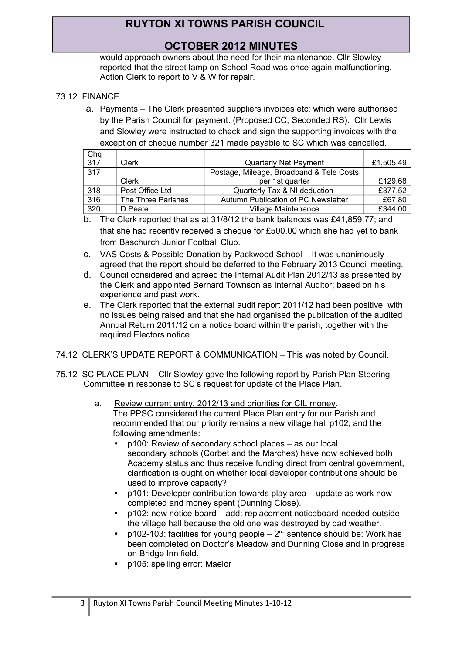## **OCTOBER 2012 MINUTES**

would approach owners about the need for their maintenance. Cllr Slowley reported that the street lamp on School Road was once again malfunctioning. Action Clerk to report to V & W for repair.

### 73.12 FINANCE

a. Payments – The Clerk presented suppliers invoices etc; which were authorised by the Parish Council for payment. (Proposed CC; Seconded RS). Cllr Lewis and Slowley were instructed to check and sign the supporting invoices with the exception of cheque number 321 made payable to SC which was cancelled.

| Chq |                    |                                          |           |
|-----|--------------------|------------------------------------------|-----------|
| 317 | Clerk              | <b>Quarterly Net Payment</b>             | £1,505.49 |
| 317 |                    | Postage, Mileage, Broadband & Tele Costs |           |
|     | Clerk              | per 1st quarter                          | £129.68   |
| 318 | Post Office Ltd    | Quarterly Tax & NI deduction             | £377.52   |
| 316 | The Three Parishes | Autumn Publication of PC Newsletter      | £67.80    |
| 320 | D Peate            | <b>Village Maintenance</b>               | £344.00   |

- b. The Clerk reported that as at 31/8/12 the bank balances was £41,859.77; and that she had recently received a cheque for £500.00 which she had yet to bank from Baschurch Junior Football Club.
- c. VAS Costs & Possible Donation by Packwood School It was unanimously agreed that the report should be deferred to the February 2013 Council meeting.
- d. Council considered and agreed the Internal Audit Plan 2012/13 as presented by the Clerk and appointed Bernard Townson as Internal Auditor; based on his experience and past work.
- e. The Clerk reported that the external audit report 2011/12 had been positive, with no issues being raised and that she had organised the publication of the audited Annual Return 2011/12 on a notice board within the parish, together with the required Electors notice.
- 74.12 CLERK'S UPDATE REPORT & COMMUNICATION This was noted by Council.
- 75.12 SC PLACE PLAN Cllr Slowley gave the following report by Parish Plan Steering Committee in response to SC's request for update of the Place Plan.
	- a. Review current entry, 2012/13 and priorities for CIL money. The PPSC considered the current Place Plan entry for our Parish and recommended that our priority remains a new village hall p102, and the following amendments:
		- p100: Review of secondary school places as our local secondary schools (Corbet and the Marches) have now achieved both Academy status and thus receive funding direct from central government, clarification is ought on whether local developer contributions should be used to improve capacity?
		- p101: Developer contribution towards play area update as work now completed and money spent (Dunning Close).
		- p102: new notice board add: replacement noticeboard needed outside the village hall because the old one was destroyed by bad weather.
		- $p102-103$ : facilities for young people  $2<sup>nd</sup>$  sentence should be: Work has been completed on Doctor's Meadow and Dunning Close and in progress on Bridge Inn field.
		- p105: spelling error: Maelor